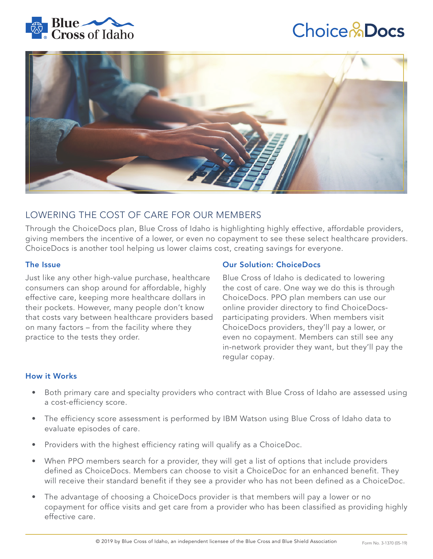

# **Choice & Docs**



# LOWERING THE COST OF CARE FOR OUR MEMBERS

Through the ChoiceDocs plan, Blue Cross of Idaho is highlighting highly effective, affordable providers, giving members the incentive of a lower, or even no copayment to see these select healthcare providers. ChoiceDocs is another tool helping us lower claims cost, creating savings for everyone.

# The Issue

Just like any other high-value purchase, healthcare consumers can shop around for affordable, highly effective care, keeping more healthcare dollars in their pockets. However, many people don't know that costs vary between healthcare providers based on many factors – from the facility where they practice to the tests they order.

# Our Solution: ChoiceDocs

Blue Cross of Idaho is dedicated to lowering the cost of care. One way we do this is through ChoiceDocs. PPO plan members can use our online provider directory to find ChoiceDocsparticipating providers. When members visit ChoiceDocs providers, they'll pay a lower, or even no copayment. Members can still see any in-network provider they want, but they'll pay the regular copay.

# How it Works

- Both primary care and specialty providers who contract with Blue Cross of Idaho are assessed using a cost-efficiency score.
- The efficiency score assessment is performed by IBM Watson using Blue Cross of Idaho data to evaluate episodes of care.
- Providers with the highest efficiency rating will qualify as a ChoiceDoc.
- When PPO members search for a provider, they will get a list of options that include providers defined as ChoiceDocs. Members can choose to visit a ChoiceDoc for an enhanced benefit. They will receive their standard benefit if they see a provider who has not been defined as a ChoiceDoc.
- The advantage of choosing a ChoiceDocs provider is that members will pay a lower or no copayment for office visits and get care from a provider who has been classified as providing highly effective care.